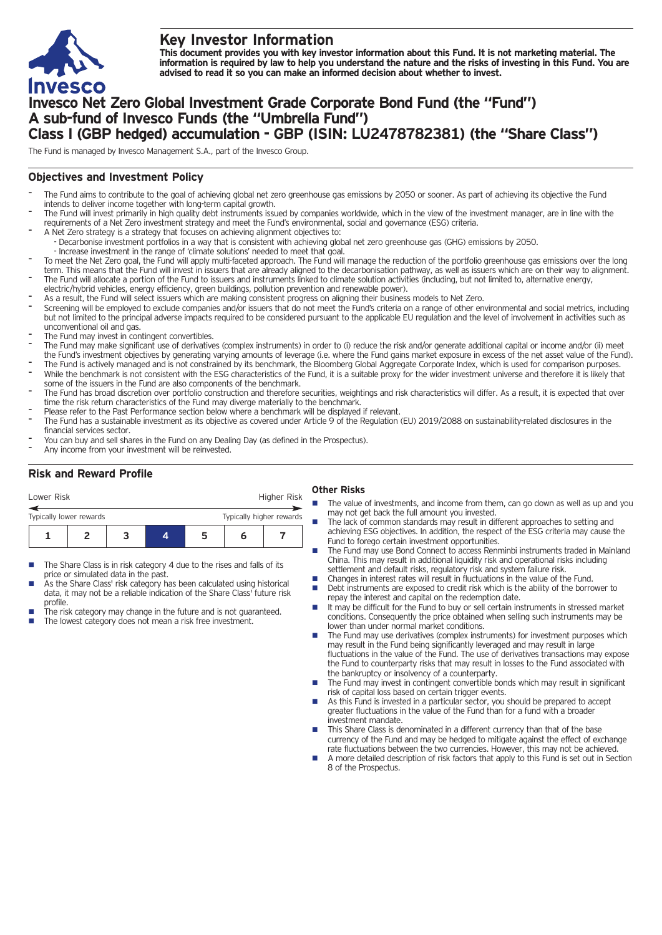

# **Key Investor Information**

This document provides you with key investor information about this Fund. It is not marketing material. The information is required by law to help you understand the nature and the risks of investing in this Fund. You are **advised to read it so you can make an informed decision about whether to invest.**

# **Invesco Net Zero Global Investment Grade Corporate Bond Fund (the "Fund") A sub-fund of Invesco Funds (the "Umbrella Fund") Class I (GBP hedged) accumulation - GBP (ISIN: LU2478782381) (the "Share Class")**

The Fund is managed by Invesco Management S.A., part of the Invesco Group.

## **Objectives and Investment Policy**

- The Fund aims to contribute to the goal of achieving global net zero greenhouse gas emissions by 2050 or sooner. As part of achieving its objective the Fund intends to deliver income together with long-term capital growth.
- The Fund will invest primarily in high quality debt instruments issued by companies worldwide, which in the view of the investment manager, are in line with the requirements of a Net Zero investment strategy and meet the Fund's environmental, social and governance (ESG) criteria.
- A Net Zero strategy is a strategy that focuses on achieving alignment objectives to: - Decarbonise investment portfolios in a way that is consistent with achieving global net zero greenhouse gas (GHG) emissions by 2050.
- Increase investment in the range of 'climate solutions' needed to meet that goal.
- To meet the Net Zero goal, the Fund will apply multi-faceted approach. The Fund will manage the reduction of the portfolio greenhouse gas emissions over the long term. This means that the Fund will invest in issuers that are already aligned to the decarbonisation pathway, as well as issuers which are on their way to alignment. The Fund will allocate a portion of the Fund to issuers and instruments linked to climate solution activities (including, but not limited to, alternative energy,
- electric/hybrid vehicles, energy efficiency, green buildings, pollution prevention and renewable power).
- As a result, the Fund will select issuers which are making consistent progress on aligning their business models to Net Zero.
- Screening will be employed to exclude companies and/or issuers that do not meet the Fund's criteria on a range of other environmental and social metrics, including but not limited to the principal adverse impacts required to be considered pursuant to the applicable EU regulation and the level of involvement in activities such as unconventional oil and gas.
- The Fund may invest in contingent convertibles.
- The Fund may make significant use of derivatives (complex instruments) in order to (i) reduce the risk and/or generate additional capital or income and/or (ii) meet the Fund's investment objectives by generating varying amounts of leverage (i.e. where the Fund gains market exposure in excess of the net asset value of the Fund).
- The Fund is actively managed and is not constrained by its benchmark, the Bloomberg Global Aggregate Corporate Index, which is used for comparison purposes. While the benchmark is not consistent with the ESG characteristics of the Fund, it is a suitable proxy for the wider investment universe and therefore it is likely that some of the issuers in the Fund are also components of the benchmark.
- The Fund has broad discretion over portfolio construction and therefore securities, weightings and risk characteristics will differ. As a result, it is expected that over time the risk return characteristics of the Fund may diverge materially to the benchmark.
- Please refer to the Past Performance section below where a benchmark will be displayed if relevant.
- The Fund has a sustainable investment as its objective as covered under Article 9 of the Regulation (EU) 2019/2088 on sustainability-related disclosures in the financial services sector.
- You can buy and sell shares in the Fund on any Dealing Day (as defined in the Prospectus).
- Any income from your investment will be reinvested.

## **Risk and Reward Profile**

| Lower Risk              |  |                          |   | Higher Risk |  |
|-------------------------|--|--------------------------|---|-------------|--|
| Typically lower rewards |  | Typically higher rewards |   |             |  |
|                         |  |                          | ∽ |             |  |

- The Share Class is in risk category 4 due to the rises and falls of its price or simulated data in the past.
- As the Share Class' risk category has been calculated using historical data, it may not be a reliable indication of the Share Class' future risk profile.
- The risk category may change in the future and is not guaranteed. The lowest category does not mean a risk free investment.

### **Other Risks**

- The value of investments, and income from them, can go down as well as up and you may not get back the full amount you invested.
- The lack of common standards may result in different approaches to setting and achieving ESG objectives. In addition, the respect of the ESG criteria may cause the Fund to forego certain investment opportunities.
- The Fund may use Bond Connect to access Renminbi instruments traded in Mainland China. This may result in additional liquidity risk and operational risks including settlement and default risks, regulatory risk and system failure risk.
- Changes in interest rates will result in fluctuations in the value of the Fund.<br>■ Debt instruments are exposed to credit risk which is the ability of the borre
- Debt instruments are exposed to credit risk which is the ability of the borrower to repay the interest and capital on the redemption date.
- $\blacksquare$  It may be difficult for the Fund to buy or sell certain instruments in stressed market conditions. Consequently the price obtained when selling such instruments may be lower than under normal market conditions.
- The Fund may use derivatives (complex instruments) for investment purposes which may result in the Fund being significantly leveraged and may result in large fluctuations in the value of the Fund. The use of derivatives transactions may expose the Fund to counterparty risks that may result in losses to the Fund associated with the bankruptcy or insolvency of a counterparty.
- The Fund may invest in contingent convertible bonds which may result in significant risk of capital loss based on certain trigger events.
- n As this Fund is invested in a particular sector, you should be prepared to accept greater fluctuations in the value of the Fund than for a fund with a broader investment mandate.
- This Share Class is denominated in a different currency than that of the base currency of the Fund and may be hedged to mitigate against the effect of exchange rate fluctuations between the two currencies. However, this may not be achieved.
- n A more detailed description of risk factors that apply to this Fund is set out in Section 8 of the Prospectus.